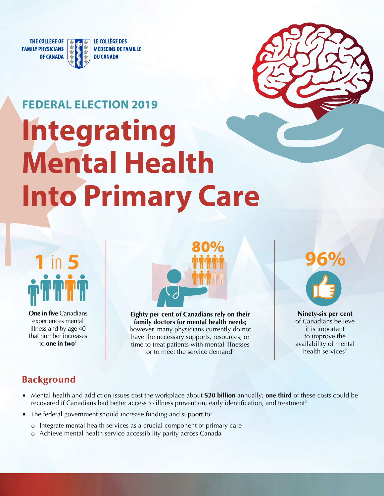

LE COLLÈGE DES **MÉDECINS DE FAMILLE DU CANADA** 



# **FEDERAL ELECTION 2019 Integrating Mental Health Into Primary Care**

# **10 5**

**One in five** Canadians experiences mental illness and by age 40 that number increases to **one in two**<sup>1</sup>



**Eighty per cent of Canadians rely on their family doctors for mental health needs;**  however, many physicians currently do not have the necessary supports, resources, or time to treat patients with mental illnesses or to meet the service demand<sup>1</sup>

**96%** 

**Ninety-six per cent**  of Canadians believe it is important to improve the availability of mental health services<sup>2</sup>

## Background

- Mental health and addiction issues cost the workplace about **\$20 billion** annually; **one third** of these costs could be recovered if Canadians had better access to illness prevention, early identification, and treatment<sup>3</sup>
- The federal government should increase funding and support to:
	- o Integrate mental health services as a crucial component of primary care
	- o Achieve mental health service accessibility parity across Canada